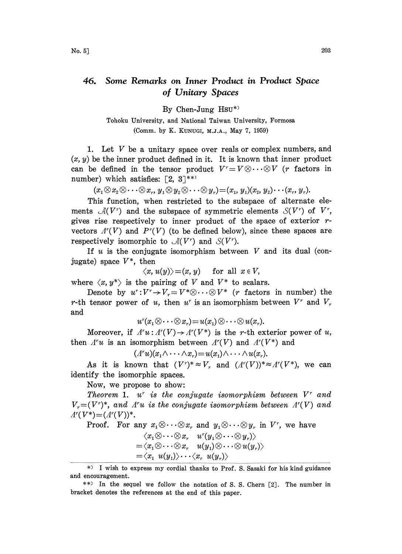## 46. Some Remarks on Inner Product in Product Space of Unitary Spaces

By Chen-Jung Hsu\*)

Tohoku University, and National Taiwan University, Formosa (Comm. by K. KUNUGI, M.J.A., May 7, 1959)

1. Let  $V$  be a unitary space over reals or complex numbers, and  $(x, y)$  be the inner product defined in it. It is known that inner product can be defined in the tensor product  $V^r=V\otimes\cdots\otimes V$  (*r* factors in number) which satisfies:  $[2, 3]^{**}$ 

 $(x_1\otimes x_2\otimes\cdots\otimes x_r, y_1\otimes y_2\otimes\cdots\otimes y_r)= (x_1, y_1)(x_2, y_2)\cdots(x_r, y_r).$ 

This function, when restricted to the subspace of alternate elements  $\mathcal{A}(V^r)$  and the subspace of symmetric elements  $\mathcal{S}(V^r)$  of  $V^r$ , gives rise respectively to inner product of the space of exterior  $r$ vectors  $\Lambda^{r}(V)$  and  $P^{r}(V)$  (to be defined below), since these spaces are respectively isomorphic to  $\mathcal{A}(V^r)$  and  $\mathcal{S}(V^r)$ .

If u is the conjugate isomorphism between V and its dual (conjugate) space  $V^*$ , then

$$
\langle x, u(y) \rangle = (x, y) \quad \text{ for all } x \in V,
$$

where  $\langle x, y^* \rangle$  is the pairing of V and  $V^*$  to scalars.

Denote by  $u^r: V^r \to V_r = V^* \otimes \cdots \otimes V^*$  (*r* factors in number) the r-th tensor power of u, then u' is an isomorphism between  $V^r$  and  $V_r$ and

$$
u^{r}(x_{1}\otimes\cdots\otimes x_{r})=u(x_{1})\otimes\cdots\otimes u(x_{r}).
$$

Moreover, if  $A^r u : A^r (V) \to A^r (V^*)$  is the r-th exterior power of u, then  $\Lambda^{r}u$  is an isomorphism between  $\Lambda^{r}(V)$  and  $\Lambda^{r}(V^{*})$  and

 $(\Lambda^r u)(x_1 \wedge \cdots \wedge x_r) = u(x_1) \wedge \cdots \wedge u(x_r).$ 

As it is known that  $(V^r)^* \approx V_r$  and  $(A^r(V))^* \approx A^r(V^*)$ , we can identify the isomorphic spaces.

Now, we propose to show:

Theorem 1.  $u^r$  is the conjugate isomorphism between  $V^r$  and  $V_r = (V^r)^*$ , and  $\Lambda^r u$  is the conjugate isomorphism between  $\Lambda^r(V)$  and  $A^{r}(V^*)=(A^{r}(V))^*.$ 

Proof. For any 
$$
x_1 \otimes \cdots \otimes x_r
$$
 and  $y_1 \otimes \cdots \otimes y_r$  in  $V^r$ , we have  
\n
$$
\langle x_1 \otimes \cdots \otimes x_r \quad u^r(y_1 \otimes \cdots \otimes y_r) \rangle
$$
\n
$$
= \langle x_1 \otimes \cdots \otimes x_r \quad u(y_1) \otimes \cdots \otimes u(y_r) \rangle
$$
\n
$$
= \langle x_1 \quad u(y_1) \rangle \cdots \langle x_r \quad u(y_r) \rangle
$$

<sup>\*)</sup> <sup>I</sup> wish to express my cordial thanks to Prof. S. Sasaki for his kind guidance and encouragement.

<sup>\*\*)</sup> In the sequel we follow the notation of S. S. Chern [2]. The number in bracket denotes the references at the end of this paper.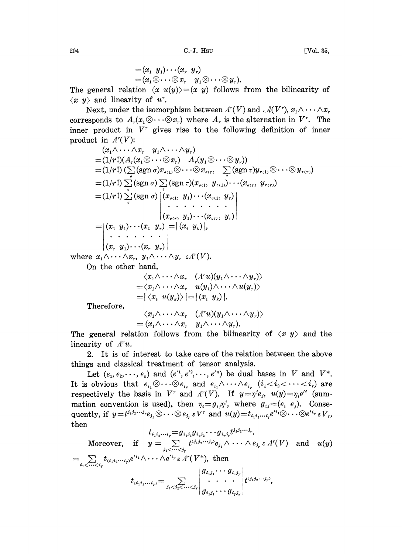C.-J. Hsu

$$
=(x_1\ \ y_1)\cdots(x_r\ \ y_r)\\=(x_1\otimes\cdots\otimes x_r\quad y_1\otimes\cdots\otimes y_r).
$$

The general relation  $\langle x \ u(y) \rangle = (x \ y)$  follows from the bilinearity of  $\langle x, y \rangle$  and linearity of u<sup>r</sup>.

Next, under the isomorphism between  $\Lambda^{r}(V)$  and  $\mathcal{A}(V^{r})$ ,  $x_1 \wedge \cdots \wedge x_r$ corresponds to  $A_r(x_1\otimes \cdots \otimes x_r)$  where  $A_r$  is the alternation in  $V^r$ . The inner product in  $V<sup>r</sup>$  gives rise to the following definition of inner product in  $A^r(V)$ :

$$
(x_1 \wedge \cdots \wedge x_r y_1 \wedge \cdots \wedge y_r)
$$
  
=  $(1/r!)(A_r(x_1 \otimes \cdots \otimes x_r) A_r(y_1 \otimes \cdots \otimes y_r))$   
=  $(1/r!) (\sum_i (sgn \sigma)x_{\sigma(1)} \otimes \cdots \otimes x_{\sigma(r)} \sum_i (sgn \tau)y_{\tau(1)} \otimes \cdots \otimes y_{\tau(r)})$   
=  $(1/r!) \sum_{\sigma} (sgn \sigma) \sum_{\tau} (sgn \tau)(x_{\sigma(1)} y_{\tau(1)}) \cdots (x_{\sigma(r)} y_{\tau(r)})$   
=  $(1/r!) \sum_{\sigma} (sgn \sigma) [(x_{\sigma(1)} y_1) \cdots (x_{\sigma(1)} y_r)]$   
=  $|(x_1 y_1) \cdots (x_1 y_r)| = |(x_i y_k)|,$   
 $\vdots$   $\vdots$   $\vdots$   $\vdots$   $\vdots$   $\vdots$   $\vdots$   $\vdots$   $\vdots$   $\vdots$   $\vdots$   $\vdots$   $\vdots$   $\vdots$   $\vdots$   $\vdots$   $\vdots$   $\vdots$   $\vdots$   $\vdots$   $\vdots$   $\vdots$   $\vdots$   $\vdots$   $\vdots$   $\vdots$   $\vdots$   $\vdots$   $\vdots$   $\vdots$   $\vdots$   $\vdots$   $\vdots$   $\vdots$   $\vdots$   $\vdots$   $\vdots$   $\vdots$   $\vdots$   $\vdots$   $\vdots$   $\vdots$   $\vdots$   $\vdots$   $\vdots$   $\vdots$   $\vdots$   $\vdots$   $\vdots$   $\vdots$   $\vdots$   $\vdots$   $\vdots$   $\vdots$   $\vdots$   $\vdots$   $\vdots$   $\vdots$ 

On the other hand,

$$
\langle x_1 \wedge \cdots \wedge x_r \quad (A^r u)(y_1 \wedge \cdots \wedge y_r) \rangle
$$
  
=  $\langle x_1 \wedge \cdots \wedge x_r \quad u(y_1) \wedge \cdots \wedge u(y_r) \rangle$   
=  $|\langle x_i \quad u(y_k) \rangle| = |(x_i \quad y_k)|$ .

Therefore,

$$
\begin{array}{cc}\n\langle x_1 \wedge \cdots \wedge x_r & (A^r u)(y_1 \wedge \cdots \wedge y_r) \rangle \\
= (x_1 \wedge \cdots \wedge x_r & y_1 \wedge \cdots \wedge y_r).\n\end{array}
$$

The general relation follows from the bilinearity of  $\langle x, y \rangle$  and the linearity of  $A^r u$ .

2. It is of interest to take care of the relation between the above things and classical treatment of tensor analysis.

Let  $(e_1, e_2, \dots, e_n)$  and  $(e'^1, e'^2, \dots, e'^n)$  be dual bases in V and  $V^*$ . It is obvious that  $e_{i_1} \otimes \cdots \otimes e_{i_r}$  and  $e_{i_1} \wedge \cdots \wedge e_{i_r}$   $(i_1 < i_2 < \cdots < i_r)$  are respectively the basis in  $V^r$  and  $\Lambda^r(V)$ . If  $y = \gamma^i e_j$ ,  $u(y) = \gamma_i e^{i}$  (summation convention is used), then  $\eta_i = g_{ij} \eta^j$ , where  $g_{ij} = (e_i \ e_j)$ . Consequently, if  $y = t^{j_1 j_2 \cdots j_r} e_{j_1} \otimes \cdots \otimes e_{j_r} \in V^r$  and  $u(y) = t_{i_1 i_2 \cdots i_r} e'^{i_1} \otimes \cdots \otimes e'^{i_r} \in V_r$ , then  $\mathbf{r}$ 

$$
t_{i_1i_2\cdots i_r}=g_{i_1j_1}g_{i_2j_2}\cdots g_{i_rj_r}t^{j_1j_2\cdots j_r}.
$$
  
Moreover, if  $y = \sum_{j_1 < \cdots < j_r} t^{(j_1j_2\cdots j_r)}e_{j_1} \wedge \cdots \wedge e_{j_r} \in \Lambda^r(V)$  and  $u(y) = \sum_{i_1 < \cdots < i_r} t_{(i_1i_2\cdots i_r)}e^{i_{i_1}} \wedge \cdots \wedge e^{i_{i_r}} \in \Lambda^r(V^*),$  then  

$$
t_{(i_1i_2\cdots i_r)} = \sum_{j_1 < j_2 < \cdots < j_r} \begin{vmatrix} g_{i_1j_1}\cdots g_{i_1j_r} \\ \vdots \\ g_{i_1j_1}\cdots g_{i_rj_r} \end{vmatrix} t^{(j_1j_2\cdots j_r)},
$$

204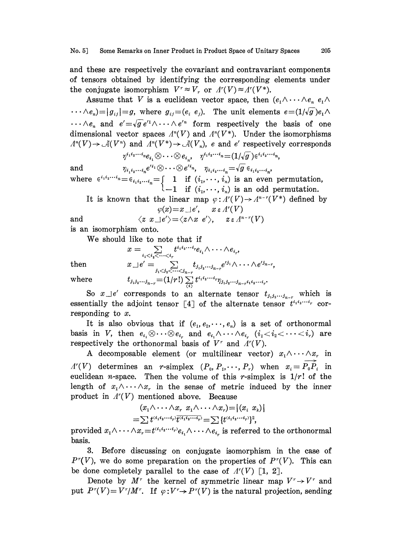and these are respectively the covariant and contravariant components of tensors obtained by identifying the corresponding elements under the conjugate isomorphism  $V^r \approx V_r$  or  $\Lambda^r(V) \approx \Lambda^r(V^*)$ .

Assume that V is a euclidean vector space, then  $(e_1 \wedge \cdots \wedge e_n \vee e_1 \wedge$  $\cdots \wedge e_n$ =| $g_{ij}$ |=g, where  $g_{ij}$ =( $e_i$   $e_j$ ). The unit elements  $e=(1/\sqrt{g})e_1\wedge$  $\cdots \wedge e_n$  and  $e'=\sqrt{g}e'^1 \wedge \cdots \wedge e'^n$  form respectively the basis of one dimensional vector spaces  $A^n(V)$  and  $A^n(V^*)$ . Under the isomorphisms  $A^{n}(V) \rightarrow \mathcal{A}(V^{n})$  and  $A^{n}(V^{*}) \rightarrow \mathcal{A}(V_{n})$ , e and e' respectively corresponds

$$
\gamma^{i_1i_2\cdots i_n}e_{i_1}\otimes \cdots \otimes e_{i_n}, \quad \gamma^{i_1i_2\cdots i_n}=(1/\sqrt{g\,})\in i_1i_2\cdots i_n,
$$

and  $\begin{aligned} \gamma^{\scriptscriptstyle r_1\scriptscriptstyle r_2\cdots\scriptscriptstyle r_l e_{i_1}}\otimes\cdots\otimes e_{i_n}, \quad &\gamma^{\scriptscriptstyle r_1\scriptscriptstyle r_2\cdots\scriptscriptstyle r_l}=(1/\sqrt{g}\,) \in^{\scriptscriptstyle r_1\scriptscriptstyle r_2\cdots\scriptscriptstyle r_l} \ \eta_{\scriptscriptstyle i_1\scriptscriptstyle i_2\cdots\scriptscriptstyle i_l}e^{\scriptscriptstyle\prime i_1}\otimes\cdots\otimes e^{\scriptscriptstyle\prime i_n}, \quad &\eta_{\scriptscriptstyle i_1\scriptscriptstyle i_2\cdots\scriptscriptstyle i_l}=\sqrt{g}\in_{i_1\$ where  $\epsilon^{i_1 i_2 \cdots i_n} = \epsilon_{i_1 i_2 \cdots i_n} = \begin{cases} 1 & \text{if } (i_1, \cdots, i_n) \text{ is an even permutation,} \end{cases}$  $-1$  if  $(i_1,\dots, i_n)$  is an odd permutation.

It is known that the linear map  $\varphi: \Lambda^r(V) \to \Lambda^{n-r}(V^*)$  defined by  $\varphi(x) = x \lrcorner e', \quad x \in \Lambda^r(V)$  $\varphi(x)=x\,\perp\!e',\quad x\,\varepsilon\,\varLambda^r(V)$ 

and 
$$
\langle z \ x \bot e' \rangle = \langle z \land x \ e' \rangle
$$
,  $z \in \Lambda^{n-r}(V)$ 

is an isomorphism onto.

We should like to note that if

$$
x = \sum_{i_1 < i_2 < \cdots < i_r} t^{i_1 i_2 \cdots i_r} e_{i_1} \wedge \cdots \wedge e_{i_r},
$$
\nthen

\n
$$
x \perp e' = \sum_{j_1 < j_2 < \cdots < j_{n-r}} t_{j_1 j_2 \cdots j_{n-r}} e'^{j_1} \wedge \cdots \wedge e'^{j_{n-r}},
$$
\nwhere

\n
$$
t_{j_1 j_2 \cdots j_{n-r}} = (1/r!) \sum_{(i)} t^{i_1 i_2 \cdots i_r} \eta_{j_1 j_2 \cdots j_{n-r} i_1 i_2 \cdots i_r}.
$$

So  $x \perp e'$  corresponds to an alternate tensor  $t_{j_1j_2...j_{n-r}}$  which is essentially the adjoint tensor  $[4]$  of the alternate tensor  $t^{i_1 i_2 \cdots i_r}$  corresponding to x.

It is also obvious that if  $(e_1, e_2, \dots, e_n)$  is a set of orthonormal basis in V, then  $e_{i_1} \otimes \cdots \otimes e_{i_r}$  and  $e_{i_1} \wedge \cdots \wedge e_{i_r}$   $(i_1 < i_2 < \cdots < i_r)$  are respectively the orthonormal basis of  $V^r$  and  $\Lambda^r(V)$ .

A decomposable element (or multilinear vector)  $x_1 \wedge \cdots \wedge x_r$  in  $A^{r}(V)$  determines an r-simplex  $(P_0, P_1, \dots, P_r)$  when  $x_i = P_0 \hat{P}_i$  in euclidean *n*-space. Then the volume of this *r*-simplex is  $1/r!$  of the length of  $x_1 \wedge \cdots \wedge x_r$  in the sense of metric induced by the inner product in  $A^{r}(V)$  mentioned above. Because

$$
(x_1\wedge\cdots\wedge x_r x_1\wedge\cdots\wedge x_r) = |(x_i x_k)|
$$
  
=
$$
\sum t^{(i_1i_2\cdots i_r)}\overline{t^{(i_1i_2\cdots i_r)}} = \sum \{t^{(i_1i_2\cdots i_r)}\}^2
$$
,

provided  $x_1 \wedge \cdots \wedge x_r = t^{(i_1 i_2 \cdots i_r)} e_{i_1} \wedge \cdots \wedge e_{i_r}$  is referred to the orthonormal basis.

3. Before discussing on conjugate isomorphism in the case of  $P^{r}(V)$ , we do some preparation on the properties of  $P^{r}(V)$ . This can be done completely parallel to the case of  $A^{r}(V)$  [1, 2].

Denote by  $M^r$  the kernel of symmetric linear map  $V^r \rightarrow V^r$  and Denote by  $M^r$  the kernel of symmetric linear map  $V^r \rightarrow V^r$  and<br>put  $P^r(V) = V^r/M^r$ . If  $\varphi: V^r \rightarrow P^r(V)$  is the natural projection, sending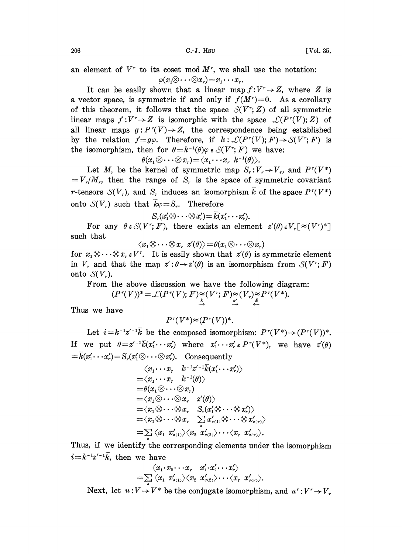$C.-J.$  Hsu  $[Vol. 35,$ 

an element of  $V^r$  to its coset mod  $M^r$ , we shall use the notation:  $\varphi(x_1\otimes \cdots \otimes x_r)=x_1\cdots x_r.$ 

It can be easily shown that a linear map  $f: V^r \rightarrow Z$ , where Z is a vector space, is symmetric if and only if  $f(M^r)=0$ . As a corollary of this theorem, it follows that the space  $S(V^r; Z)$  of all symmetric linear maps  $f: V^r \to Z$  is isomorphic with the space  $\mathcal{L}(P^r(V); Z)$  of all linear maps  $g: P^r(V) \to Z$ , the correspondence being established by the relation  $f= g\varphi$ . Therefore, if  $k: \mathcal{L}(P^r(V); F) \to \mathcal{S}(V^r; F)$  is the isomorphism, then for  $\theta = k^{-1}(\theta)\varphi \in \mathcal{S}(V^r; F)$  we have:

$$
\theta(x_1\otimes\cdots\otimes x_r)=\langle x_1\cdots x_r \, k^{-1}(\theta)\rangle.
$$

 $\theta(x_1 \otimes \cdots \otimes x_r) = \langle x_1 \cdots x_r \vert k^{-1}(\theta) \rangle.$ <br>Let  $M_r$  be the kernel of symmetric map  $S_r: V_r \to V_r$ , and  $P^r(V^*)$  $=V_r/M_r$ , then the range of S<sub>r</sub> is the space of symmetric covariant r-tensors  $\mathcal{S}(V_r)$ , and  $S_r$  induces an isomorphism  $\overline{k}$  of the space  $P^r(V^*)$ onto  $S(V_r)$  such that  $\vec{k}\varphi=S_r$ . Therefore

$$
S_r(x'_1\otimes\cdots\otimes x'_r)=\overline{k}(x'_1\cdots x'_r).
$$

For any  $\theta \in \mathcal{S}(V^r;F)$ , there exists an element  $z'(\theta) \in V_r[\approx(V^r)^*]$ such that

 $\langle x_1 \otimes \cdots \otimes x_r \ z'(\theta) \rangle = \theta(x_1 \otimes \cdots \otimes x_r)$ <br>for  $x_1 \otimes \cdots \otimes x_r \ z V^r$ . It is easily shown that  $z'(\theta)$  is symmetric element  $\cdot \otimes x$ ,  $z'(\theta) \rangle = \theta(x_1 \otimes \cdots \otimes x_r)$ <br>seasily shown that  $z'(\theta)$  is s in  $V_r$  and that the map  $z' : \theta \rightarrow z'(\theta)$  is an isomorphism from  $\mathcal{S}(V^r; F)$ onto  $\mathcal{S}(V_r)$ .

From the above discussion we have the following diagram:

$$
(P^r(V))^* = \mathcal{L}(P^r(V); F) \underset{\overset{\ast}{\rightarrow}}{\approx} (V^r; F) \underset{\underset{\underset{\rightarrow}{\rightarrow}}{\approx}}{\approx} (V_r) \underset{\underset{\leftarrow}{\sim}}{\approx} P^r(V^*).
$$

Thus we have

$$
P^r(V^*)\!\approx\! (P^r(V))^*.
$$

Let  $i=k^{-1}z'^{-1}\overline{k}$  be the composed isomorphism:  $P^r(V^*) \rightarrow (P^r(V))^*$ . If we put  $\theta = z'^{-1}\overline{k}(x'_1 \cdots x'_r)$  where  $x'_1 \cdots x'_r \in P^r(V^*)$ , we have  $z'(\theta)$  $k = \overline{k}(x'_1 \cdots x'_r) = S_r(x'_1 \otimes \cdots \otimes x'_r).$  Consequently

$$
\langle x_1 \cdots x_r \quad k^{-1}z'^{-1}\overline{k}(x'_1 \cdots x'_r) \rangle
$$
  
= $\langle x_1 \cdots x_r \quad k^{-1}(\theta) \rangle$   
= $\theta(x_1 \otimes \cdots \otimes x_r)$   
= $\langle x_1 \otimes \cdots \otimes x_r \quad z'(\theta) \rangle$   
= $\langle x_1 \otimes \cdots \otimes x_r \quad S_r(x'_1 \otimes \cdots \otimes x'_r) \rangle$   
= $\langle x_1 \otimes \cdots \otimes x_r \quad \sum_i x'_{\sigma(1)} \otimes \cdots \otimes x'_{\sigma(r)} \rangle$   
= $\sum_i \langle x_i \quad x'_{\sigma(1)} \rangle \langle x_2 \quad x'_{\sigma(2)} \rangle \cdots \langle x_r \quad x'_{\sigma(r)} \rangle.$ 

Thus, if we identify the corresponding elements under the isomorphism  $i = k^{-1}z'^{-1}\overline{k}$ , then we have

$$
\begin{array}{cc}\langle x_1\!\cdot\! x_2\!\cdot\!\cdot\!\cdot\! x_r\! & x_1'\!\cdot\! x_2'\!\cdot\!\cdot\!\cdot\! x_r'\rangle\\=\sum\limits_{\sigma}\langle x_1\!\cdot\! x_{\sigma(1)}'\rangle\langle x_2\!\cdot\! x_{\sigma(2)}'\rangle\!\cdot\!\cdot\!\cdot\langle x_r\!\cdot\! x_{\sigma(r)}'\rangle.\end{array}
$$

Next, let  $u: V \to V^*$  be the conjugate isomorphism, and  $u^r: V^r \to V$ .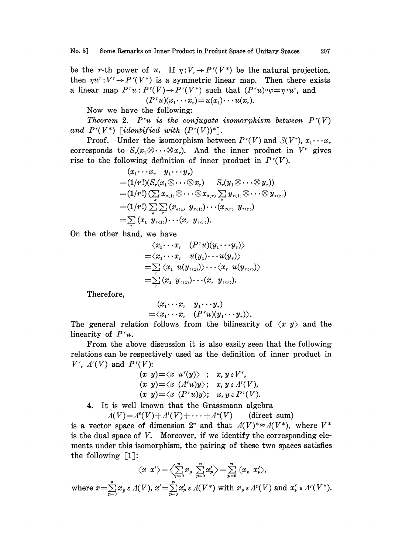be the r-th power of u. If  $\eta: V_r \to P^r(V^*)$  be the natural projection, then  $\eta u^r : V^r \to P^r(V^*)$  is a symmetric linear map. Then there exists a linear map  $P^r u : P^r (V) \to P^r (V^*)$  such that  $(P^r u) \circ \varphi = \eta \circ u^r$ , and  $(P<sup>r</sup>u)(x_1 \cdots x_r) = u(x_1) \cdots u(x_r).$ 

Now we have the following:

Theorem 2. P'u is the conjugate isomorphism between  $P^r(V)$ and  $P^r(V^*)$  [identified with  $(P^r(V))^*$ ].

Proof. Under the isomorphism between  $P^r(V)$  and  $S(V^r)$ ,  $x_1 \cdots x_r$ corresponds to  $S_r(x_1\otimes \cdots \otimes x_r)$ . And the inner product in  $V^r$  gives rise to the following definition of inner product in  $P<sup>r</sup>(V)$ .

$$
(x_1 \cdots x_r y_1 \cdots y_r)
$$
  
=  $(1/r!)(S_r(x_1 \otimes \cdots \otimes x_r) S_r(y_1 \otimes \cdots \otimes y_r))$   
=  $(1/r!) (\sum_{\sigma} x_{\sigma(1)} \otimes \cdots \otimes x_{\sigma(r)} \sum_{\tau} y_{\tau(1)} \otimes \cdots \otimes y_{\tau(r)})$   
=  $(1/r!) \sum_{\sigma} \sum_{\tau} (x_{\sigma(1)} y_{\tau(1)}) \cdots (x_{\sigma(r)} y_{\tau(r)})$   
=  $\sum_{\sigma} (x_1 y_{\tau(1)}) \cdots (x_r y_{\tau(r)}).$ 

On the other hand, we have

$$
\langle x_1 \cdots x_r \quad (P^r u)(y_1 \cdots y_r) \rangle
$$
  
=  $\langle x_1 \cdots x_r \quad u(y_1) \cdots u(y_r) \rangle$   
=  $\sum_i \langle x_1 \quad u(y_{\tau(1)}) \rangle \cdots \langle x_r \quad u(y_{\tau(r)}) \rangle$   
=  $\sum_i (x_1 \quad y_{\tau(1)}) \cdots (x_r \quad y_{\tau(r)}).$ 

Therefore,

$$
(x_1 \cdots x_r \quad y_1 \cdots y_r) = \langle x_1 \cdots x_r \quad (P^r u)(y_1 \cdots y_r) \rangle.
$$

The general relation follows from the bilinearity of  $\langle x, y \rangle$  and the linearity of  $P^{\prime}u$ .

From the above discussion it is also easily seen that the following relations can be respectively used as the definition of inner product in  $V^r$ ,  $\Lambda^r(V)$  and  $P^r(V)$ :

$$
(x \ y) = \langle x \ u^r(y) \rangle \ ; \ x, y \in V^r,
$$
  
\n
$$
(x \ y) = \langle x \ (A^r u) y \rangle; \ x, y \in A^r(V),
$$
  
\n
$$
(x \ y) = \langle x \ (P^r u) y \rangle; \ x, y \in P^r(V).
$$

4. It is well known that the Grassmann algebra

 $A(V) = A^0(V) + A^1(V) + \cdots + A^n(V)$  (direct sum)

is a vector space of dimension  $2^n$  and that  $\Lambda(V)^* \approx \Lambda(V^*)$ , where  $V^*$ is the dual space of  $V$ . Moreover, if we identify the corresponding elements under this isomorphism, the pairing of these two spaces satisfies the following  $\lceil 1 \rceil$ :

$$
\langle x \ x' \rangle \!=\! \Big\langle \!\!\sum_{p=0}^n x_p \ \!\sum_{p=0}^n x'_p \Big\rangle \!=\! \sum_{p=0}^n \langle x_p \ x'_p \rangle,
$$
\nwhere  $x = \sum_{p=0}^n x_p \epsilon \ A(V), x' = \sum_{p=0}^n x'_p \epsilon \ A(V^*)$  with  $x_p \epsilon \ A^p(V)$  and  $x'_p \epsilon \ A^p(V^*).$